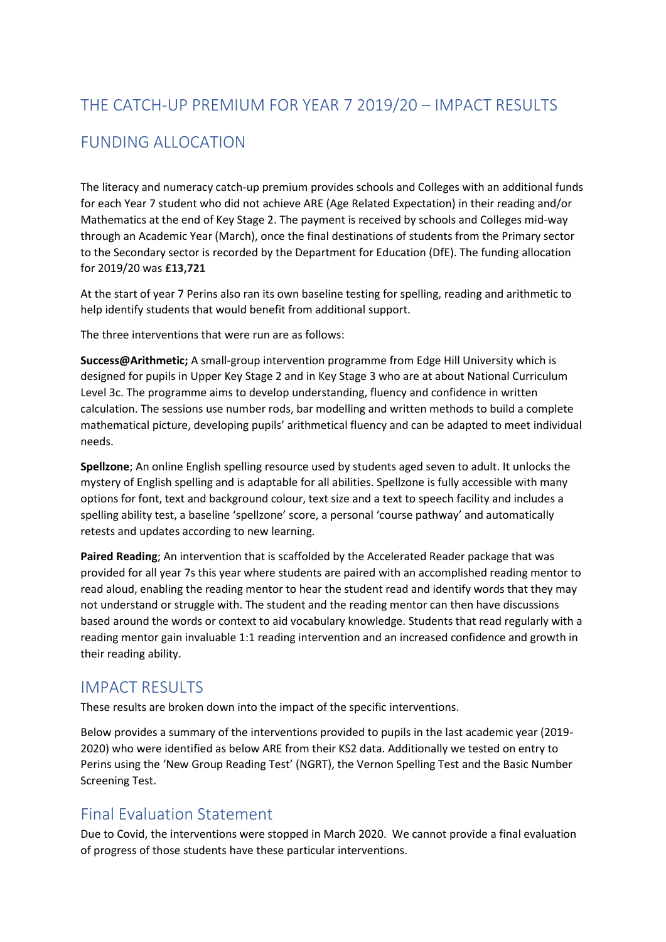# THE CATCH-UP PREMIUM FOR YEAR 7 2019/20 – IMPACT RESULTS

## FUNDING ALLOCATION

The literacy and numeracy catch-up premium provides schools and Colleges with an additional funds for each Year 7 student who did not achieve ARE (Age Related Expectation) in their reading and/or Mathematics at the end of Key Stage 2. The payment is received by schools and Colleges mid-way through an Academic Year (March), once the final destinations of students from the Primary sector to the Secondary sector is recorded by the Department for Education (DfE). The funding allocation for 2019/20 was **£13,721**

At the start of year 7 Perins also ran its own baseline testing for spelling, reading and arithmetic to help identify students that would benefit from additional support.

The three interventions that were run are as follows:

**Success@Arithmetic;** A small-group intervention programme from Edge Hill University which is designed for pupils in Upper Key Stage 2 and in Key Stage 3 who are at about National Curriculum Level 3c. The programme aims to develop understanding, fluency and confidence in written calculation. The sessions use number rods, bar modelling and written methods to build a complete mathematical picture, developing pupils' arithmetical fluency and can be adapted to meet individual needs.

**Spellzone**; An online English spelling resource used by students aged seven to adult. It unlocks the mystery of English spelling and is adaptable for all abilities. Spellzone is fully accessible with many options for font, text and background colour, text size and a text to speech facility and includes a spelling ability test, a baseline 'spellzone' score, a personal 'course pathway' and automatically retests and updates according to new learning.

**Paired Reading**; An intervention that is scaffolded by the Accelerated Reader package that was provided for all year 7s this year where students are paired with an accomplished reading mentor to read aloud, enabling the reading mentor to hear the student read and identify words that they may not understand or struggle with. The student and the reading mentor can then have discussions based around the words or context to aid vocabulary knowledge. Students that read regularly with a reading mentor gain invaluable 1:1 reading intervention and an increased confidence and growth in their reading ability.

### IMPACT RESULTS

These results are broken down into the impact of the specific interventions.

Below provides a summary of the interventions provided to pupils in the last academic year (2019- 2020) who were identified as below ARE from their KS2 data. Additionally we tested on entry to Perins using the 'New Group Reading Test' (NGRT), the Vernon Spelling Test and the Basic Number Screening Test.

## Final Evaluation Statement

Due to Covid, the interventions were stopped in March 2020. We cannot provide a final evaluation of progress of those students have these particular interventions.